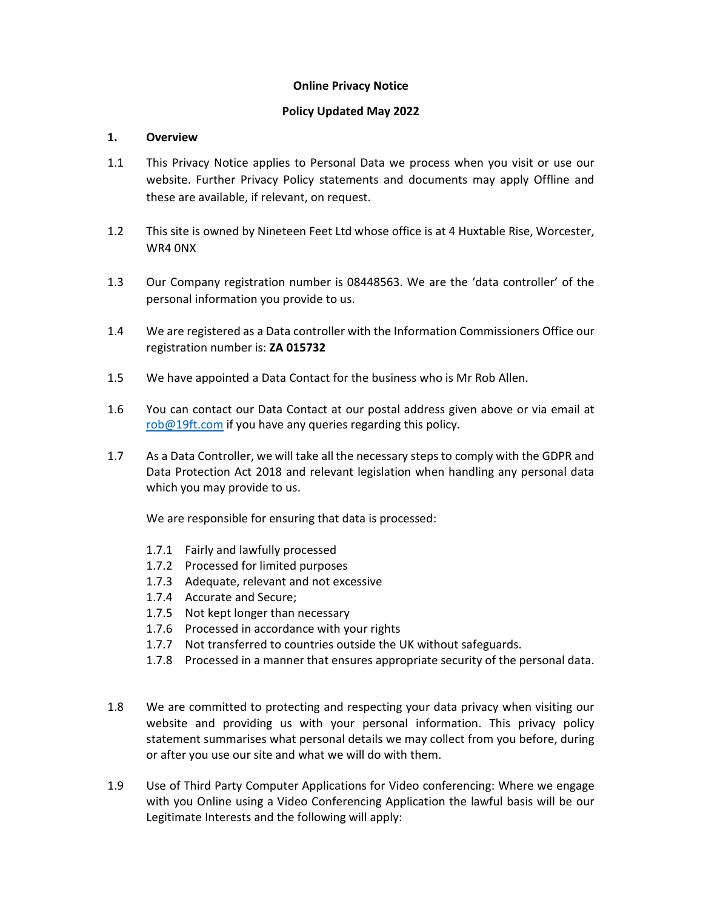### Online Privacy Notice

## Policy Updated May 2022

### 1. Overview

- 1.1 This Privacy Notice applies to Personal Data we process when you visit or use our website. Further Privacy Policy statements and documents may apply Offline and these are available, if relevant, on request.
- 1.2 This site is owned by Nineteen Feet Ltd whose office is at 4 Huxtable Rise, Worcester, WR4 0NX
- 1.3 Our Company registration number is 08448563. We are the 'data controller' of the personal information you provide to us.
- 1.4 We are registered as a Data controller with the Information Commissioners Office our registration number is: ZA 015732
- 1.5 We have appointed a Data Contact for the business who is Mr Rob Allen.
- 1.6 You can contact our Data Contact at our postal address given above or via email at rob@19ft.com if you have any queries regarding this policy.
- 1.7 As a Data Controller, we will take all the necessary steps to comply with the GDPR and Data Protection Act 2018 and relevant legislation when handling any personal data which you may provide to us.

We are responsible for ensuring that data is processed:

- 1.7.1 Fairly and lawfully processed
- 1.7.2 Processed for limited purposes
- 1.7.3 Adequate, relevant and not excessive
- 1.7.4 Accurate and Secure;
- 1.7.5 Not kept longer than necessary
- 1.7.6 Processed in accordance with your rights
- 1.7.7 Not transferred to countries outside the UK without safeguards.
- 1.7.8 Processed in a manner that ensures appropriate security of the personal data.
- 1.8 We are committed to protecting and respecting your data privacy when visiting our website and providing us with your personal information. This privacy policy statement summarises what personal details we may collect from you before, during or after you use our site and what we will do with them.
- 1.9 Use of Third Party Computer Applications for Video conferencing: Where we engage with you Online using a Video Conferencing Application the lawful basis will be our Legitimate Interests and the following will apply: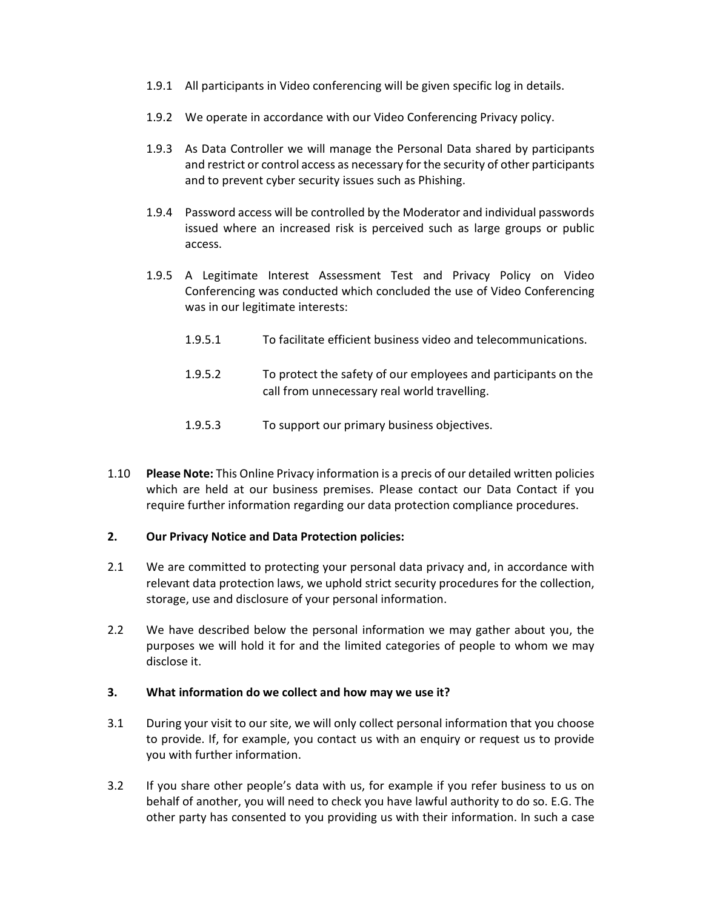- 1.9.1 All participants in Video conferencing will be given specific log in details.
- 1.9.2 We operate in accordance with our Video Conferencing Privacy policy.
- 1.9.3 As Data Controller we will manage the Personal Data shared by participants and restrict or control access as necessary for the security of other participants and to prevent cyber security issues such as Phishing.
- 1.9.4 Password access will be controlled by the Moderator and individual passwords issued where an increased risk is perceived such as large groups or public access.
- 1.9.5 A Legitimate Interest Assessment Test and Privacy Policy on Video Conferencing was conducted which concluded the use of Video Conferencing was in our legitimate interests:
	- 1.9.5.1 To facilitate efficient business video and telecommunications.
	- 1.9.5.2 To protect the safety of our employees and participants on the call from unnecessary real world travelling.
	- 1.9.5.3 To support our primary business objectives.
- 1.10 Please Note: This Online Privacy information is a precis of our detailed written policies which are held at our business premises. Please contact our Data Contact if you require further information regarding our data protection compliance procedures.

### 2. Our Privacy Notice and Data Protection policies:

- 2.1 We are committed to protecting your personal data privacy and, in accordance with relevant data protection laws, we uphold strict security procedures for the collection, storage, use and disclosure of your personal information.
- 2.2 We have described below the personal information we may gather about you, the purposes we will hold it for and the limited categories of people to whom we may disclose it.

### 3. What information do we collect and how may we use it?

- 3.1 During your visit to our site, we will only collect personal information that you choose to provide. If, for example, you contact us with an enquiry or request us to provide you with further information.
- 3.2 If you share other people's data with us, for example if you refer business to us on behalf of another, you will need to check you have lawful authority to do so. E.G. The other party has consented to you providing us with their information. In such a case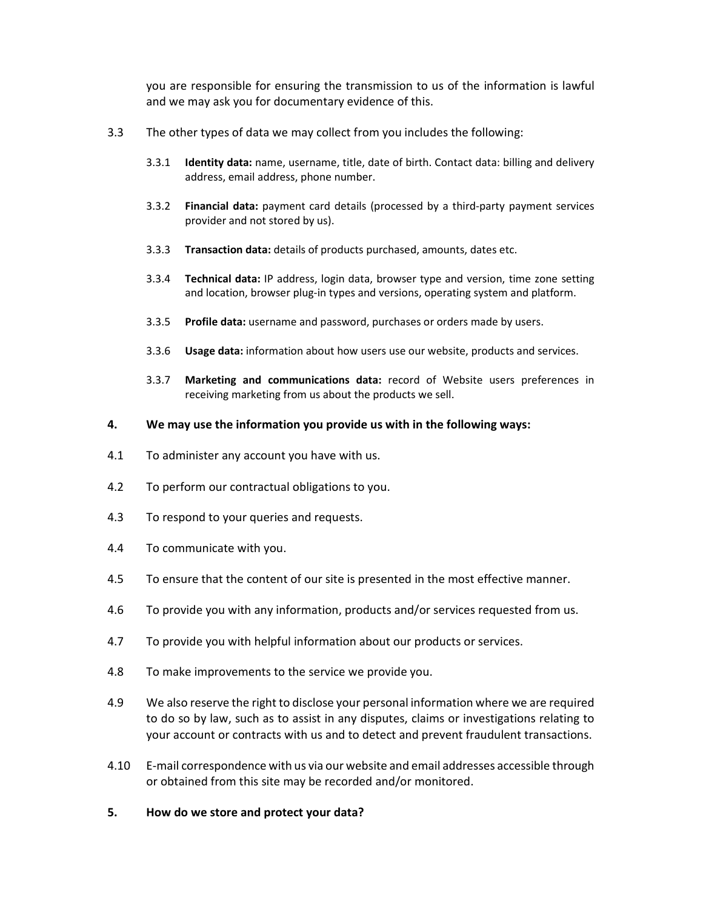you are responsible for ensuring the transmission to us of the information is lawful and we may ask you for documentary evidence of this.

- 3.3 The other types of data we may collect from you includes the following:
	- 3.3.1 Identity data: name, username, title, date of birth. Contact data: billing and delivery address, email address, phone number.
	- 3.3.2 Financial data: payment card details (processed by a third-party payment services provider and not stored by us).
	- 3.3.3 Transaction data: details of products purchased, amounts, dates etc.
	- 3.3.4 Technical data: IP address, login data, browser type and version, time zone setting and location, browser plug-in types and versions, operating system and platform.
	- 3.3.5 Profile data: username and password, purchases or orders made by users.
	- 3.3.6 Usage data: information about how users use our website, products and services.
	- 3.3.7 Marketing and communications data: record of Website users preferences in receiving marketing from us about the products we sell.
- 4. We may use the information you provide us with in the following ways:
- 4.1 To administer any account you have with us.
- 4.2 To perform our contractual obligations to you.
- 4.3 To respond to your queries and requests.
- 4.4 To communicate with you.
- 4.5 To ensure that the content of our site is presented in the most effective manner.
- 4.6 To provide you with any information, products and/or services requested from us.
- 4.7 To provide you with helpful information about our products or services.
- 4.8 To make improvements to the service we provide you.
- 4.9 We also reserve the right to disclose your personal information where we are required to do so by law, such as to assist in any disputes, claims or investigations relating to your account or contracts with us and to detect and prevent fraudulent transactions.
- 4.10 E-mail correspondence with us via our website and email addresses accessible through or obtained from this site may be recorded and/or monitored.
- 5. How do we store and protect your data?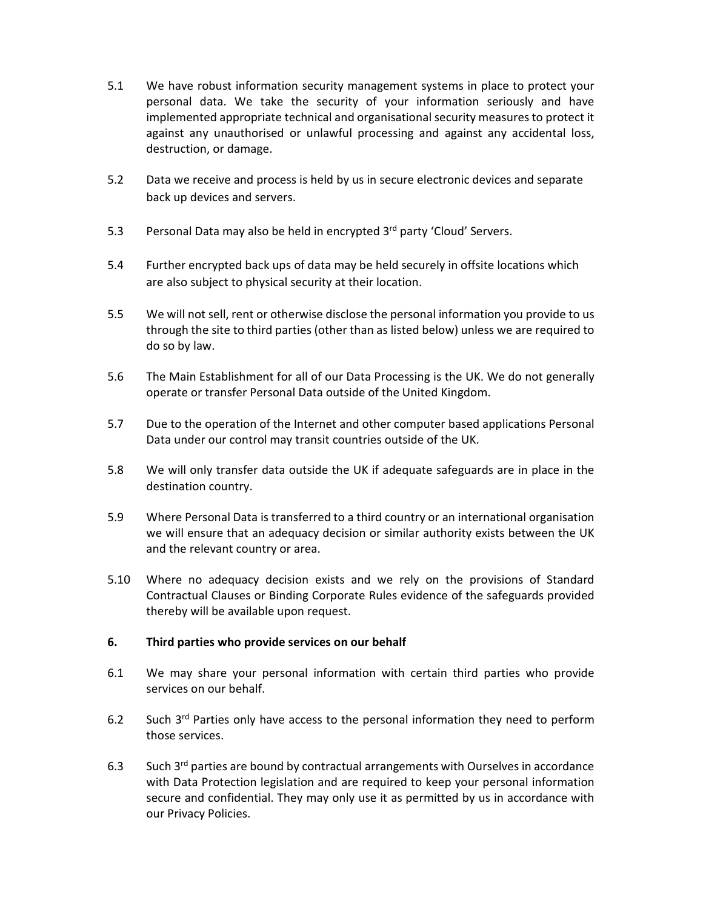- 5.1 We have robust information security management systems in place to protect your personal data. We take the security of your information seriously and have implemented appropriate technical and organisational security measures to protect it against any unauthorised or unlawful processing and against any accidental loss, destruction, or damage.
- 5.2 Data we receive and process is held by us in secure electronic devices and separate back up devices and servers.
- 5.3 Personal Data may also be held in encrypted  $3<sup>rd</sup>$  party 'Cloud' Servers.
- 5.4 Further encrypted back ups of data may be held securely in offsite locations which are also subject to physical security at their location.
- 5.5 We will not sell, rent or otherwise disclose the personal information you provide to us through the site to third parties (other than as listed below) unless we are required to do so by law.
- 5.6 The Main Establishment for all of our Data Processing is the UK. We do not generally operate or transfer Personal Data outside of the United Kingdom.
- 5.7 Due to the operation of the Internet and other computer based applications Personal Data under our control may transit countries outside of the UK.
- 5.8 We will only transfer data outside the UK if adequate safeguards are in place in the destination country.
- 5.9 Where Personal Data is transferred to a third country or an international organisation we will ensure that an adequacy decision or similar authority exists between the UK and the relevant country or area.
- 5.10 Where no adequacy decision exists and we rely on the provisions of Standard Contractual Clauses or Binding Corporate Rules evidence of the safeguards provided thereby will be available upon request.

### 6. Third parties who provide services on our behalf

- 6.1 We may share your personal information with certain third parties who provide services on our behalf.
- 6.2 Such  $3^{rd}$  Parties only have access to the personal information they need to perform those services.
- 6.3 Such  $3<sup>rd</sup>$  parties are bound by contractual arrangements with Ourselves in accordance with Data Protection legislation and are required to keep your personal information secure and confidential. They may only use it as permitted by us in accordance with our Privacy Policies.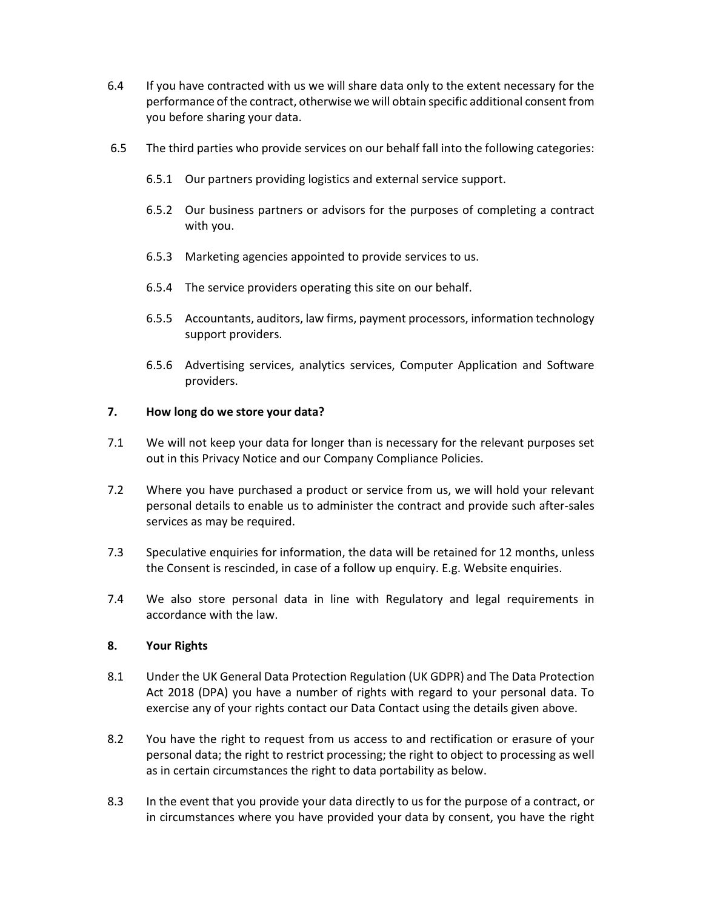- 6.4 If you have contracted with us we will share data only to the extent necessary for the performance of the contract, otherwise we will obtain specific additional consent from you before sharing your data.
- 6.5 The third parties who provide services on our behalf fall into the following categories:
	- 6.5.1 Our partners providing logistics and external service support.
	- 6.5.2 Our business partners or advisors for the purposes of completing a contract with you.
	- 6.5.3 Marketing agencies appointed to provide services to us.
	- 6.5.4 The service providers operating this site on our behalf.
	- 6.5.5 Accountants, auditors, law firms, payment processors, information technology support providers.
	- 6.5.6 Advertising services, analytics services, Computer Application and Software providers.

### 7. How long do we store your data?

- 7.1 We will not keep your data for longer than is necessary for the relevant purposes set out in this Privacy Notice and our Company Compliance Policies.
- 7.2 Where you have purchased a product or service from us, we will hold your relevant personal details to enable us to administer the contract and provide such after-sales services as may be required.
- 7.3 Speculative enquiries for information, the data will be retained for 12 months, unless the Consent is rescinded, in case of a follow up enquiry. E.g. Website enquiries.
- 7.4 We also store personal data in line with Regulatory and legal requirements in accordance with the law.

### 8. Your Rights

- 8.1 Under the UK General Data Protection Regulation (UK GDPR) and The Data Protection Act 2018 (DPA) you have a number of rights with regard to your personal data. To exercise any of your rights contact our Data Contact using the details given above.
- 8.2 You have the right to request from us access to and rectification or erasure of your personal data; the right to restrict processing; the right to object to processing as well as in certain circumstances the right to data portability as below.
- 8.3 In the event that you provide your data directly to us for the purpose of a contract, or in circumstances where you have provided your data by consent, you have the right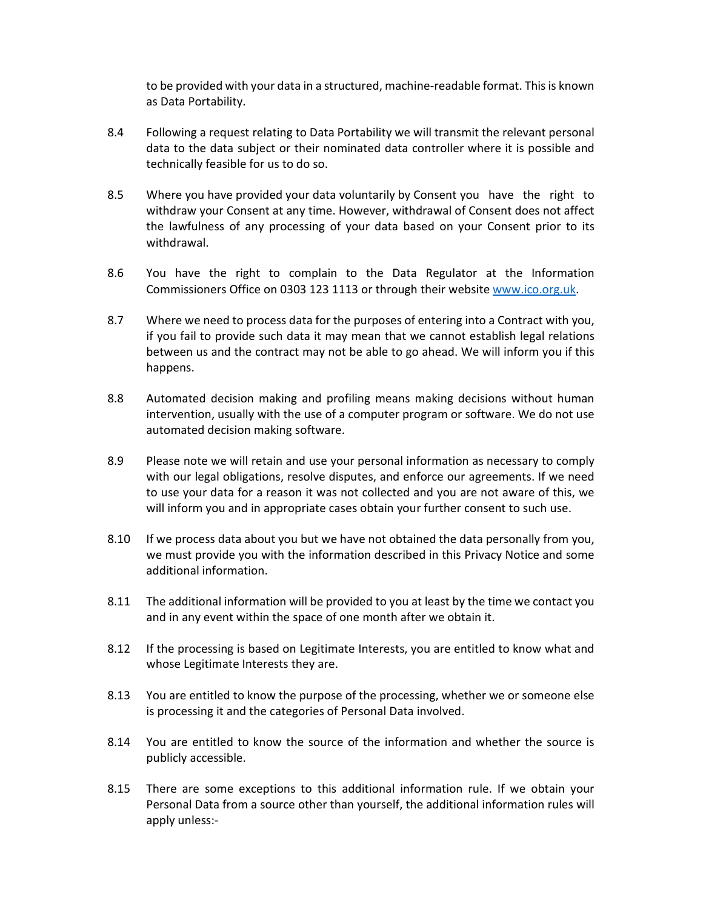to be provided with your data in a structured, machine-readable format. This is known as Data Portability.

- 8.4 Following a request relating to Data Portability we will transmit the relevant personal data to the data subject or their nominated data controller where it is possible and technically feasible for us to do so.
- 8.5 Where you have provided your data voluntarily by Consent you have the right to withdraw your Consent at any time. However, withdrawal of Consent does not affect the lawfulness of any processing of your data based on your Consent prior to its withdrawal.
- 8.6 You have the right to complain to the Data Regulator at the Information Commissioners Office on 0303 123 1113 or through their website www.ico.org.uk.
- 8.7 Where we need to process data for the purposes of entering into a Contract with you, if you fail to provide such data it may mean that we cannot establish legal relations between us and the contract may not be able to go ahead. We will inform you if this happens.
- 8.8 Automated decision making and profiling means making decisions without human intervention, usually with the use of a computer program or software. We do not use automated decision making software.
- 8.9 Please note we will retain and use your personal information as necessary to comply with our legal obligations, resolve disputes, and enforce our agreements. If we need to use your data for a reason it was not collected and you are not aware of this, we will inform you and in appropriate cases obtain your further consent to such use.
- 8.10 If we process data about you but we have not obtained the data personally from you, we must provide you with the information described in this Privacy Notice and some additional information.
- 8.11 The additional information will be provided to you at least by the time we contact you and in any event within the space of one month after we obtain it.
- 8.12 If the processing is based on Legitimate Interests, you are entitled to know what and whose Legitimate Interests they are.
- 8.13 You are entitled to know the purpose of the processing, whether we or someone else is processing it and the categories of Personal Data involved.
- 8.14 You are entitled to know the source of the information and whether the source is publicly accessible.
- 8.15 There are some exceptions to this additional information rule. If we obtain your Personal Data from a source other than yourself, the additional information rules will apply unless:-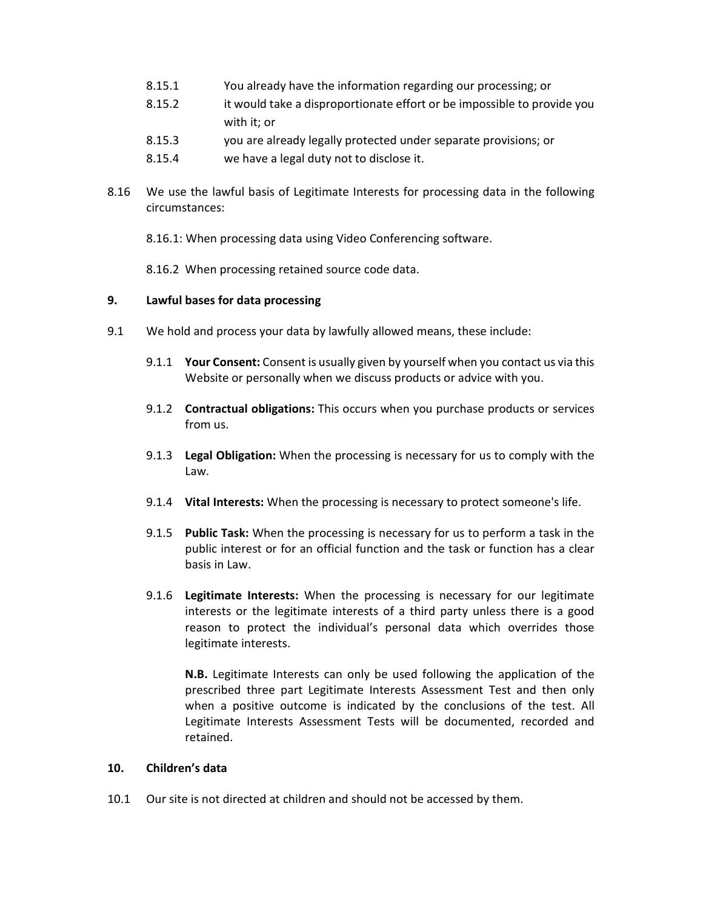- 8.15.1 You already have the information regarding our processing; or
- 8.15.2 it would take a disproportionate effort or be impossible to provide you with it; or
- 8.15.3 you are already legally protected under separate provisions; or
- 8.15.4 we have a legal duty not to disclose it.
- 8.16 We use the lawful basis of Legitimate Interests for processing data in the following circumstances:

8.16.1: When processing data using Video Conferencing software.

8.16.2 When processing retained source code data.

### 9. Lawful bases for data processing

- 9.1 We hold and process your data by lawfully allowed means, these include:
	- 9.1.1 Your Consent: Consent is usually given by yourself when you contact us via this Website or personally when we discuss products or advice with you.
	- 9.1.2 Contractual obligations: This occurs when you purchase products or services from us.
	- 9.1.3 Legal Obligation: When the processing is necessary for us to comply with the Law.
	- 9.1.4 Vital Interests: When the processing is necessary to protect someone's life.
	- 9.1.5 Public Task: When the processing is necessary for us to perform a task in the public interest or for an official function and the task or function has a clear basis in Law.
	- 9.1.6 Legitimate Interests: When the processing is necessary for our legitimate interests or the legitimate interests of a third party unless there is a good reason to protect the individual's personal data which overrides those legitimate interests.

N.B. Legitimate Interests can only be used following the application of the prescribed three part Legitimate Interests Assessment Test and then only when a positive outcome is indicated by the conclusions of the test. All Legitimate Interests Assessment Tests will be documented, recorded and retained.

### 10. Children's data

10.1 Our site is not directed at children and should not be accessed by them.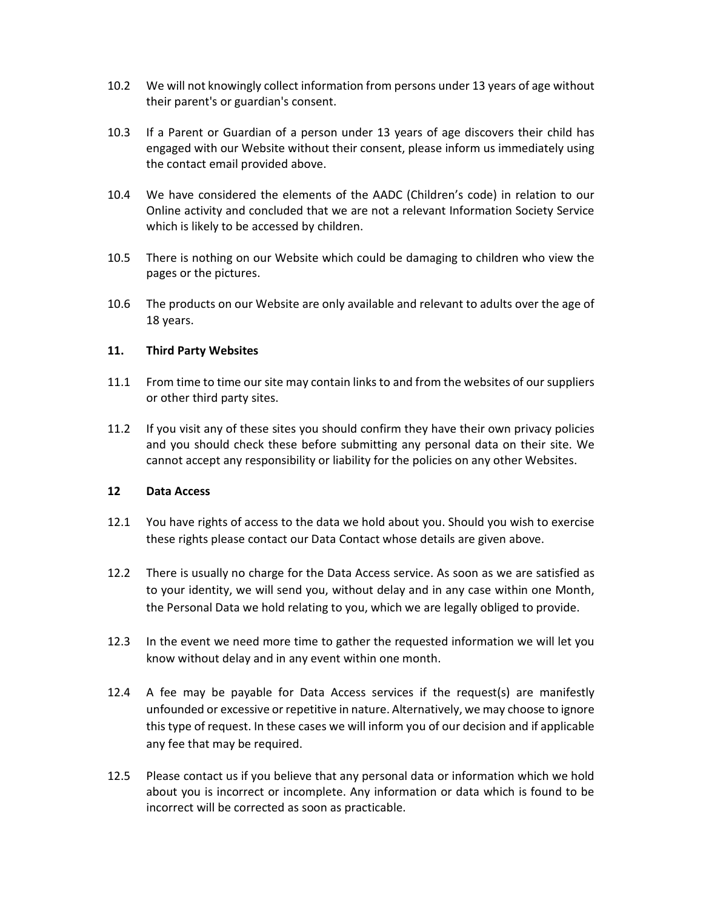- 10.2 We will not knowingly collect information from persons under 13 years of age without their parent's or guardian's consent.
- 10.3 If a Parent or Guardian of a person under 13 years of age discovers their child has engaged with our Website without their consent, please inform us immediately using the contact email provided above.
- 10.4 We have considered the elements of the AADC (Children's code) in relation to our Online activity and concluded that we are not a relevant Information Society Service which is likely to be accessed by children.
- 10.5 There is nothing on our Website which could be damaging to children who view the pages or the pictures.
- 10.6 The products on our Website are only available and relevant to adults over the age of 18 years.

## 11. Third Party Websites

- 11.1 From time to time our site may contain links to and from the websites of our suppliers or other third party sites.
- 11.2 If you visit any of these sites you should confirm they have their own privacy policies and you should check these before submitting any personal data on their site. We cannot accept any responsibility or liability for the policies on any other Websites.

### 12 Data Access

- 12.1 You have rights of access to the data we hold about you. Should you wish to exercise these rights please contact our Data Contact whose details are given above.
- 12.2 There is usually no charge for the Data Access service. As soon as we are satisfied as to your identity, we will send you, without delay and in any case within one Month, the Personal Data we hold relating to you, which we are legally obliged to provide.
- 12.3 In the event we need more time to gather the requested information we will let you know without delay and in any event within one month.
- 12.4 A fee may be payable for Data Access services if the request(s) are manifestly unfounded or excessive or repetitive in nature. Alternatively, we may choose to ignore this type of request. In these cases we will inform you of our decision and if applicable any fee that may be required.
- 12.5 Please contact us if you believe that any personal data or information which we hold about you is incorrect or incomplete. Any information or data which is found to be incorrect will be corrected as soon as practicable.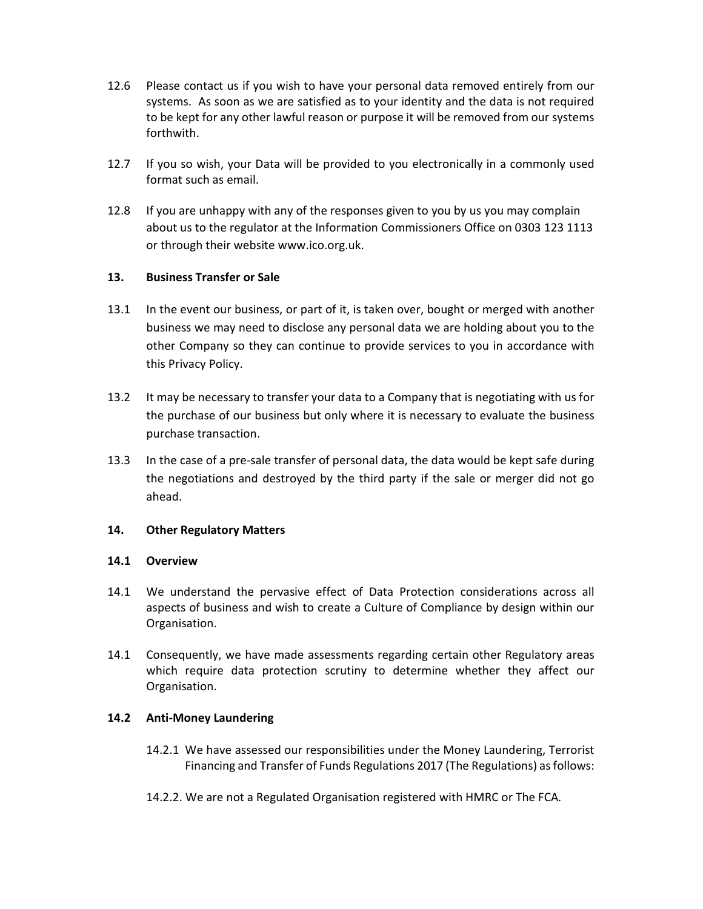- 12.6 Please contact us if you wish to have your personal data removed entirely from our systems. As soon as we are satisfied as to your identity and the data is not required to be kept for any other lawful reason or purpose it will be removed from our systems forthwith.
- 12.7 If you so wish, your Data will be provided to you electronically in a commonly used format such as email.
- 12.8 If you are unhappy with any of the responses given to you by us you may complain about us to the regulator at the Information Commissioners Office on 0303 123 1113 or through their website www.ico.org.uk.

## 13. Business Transfer or Sale

- 13.1 In the event our business, or part of it, is taken over, bought or merged with another business we may need to disclose any personal data we are holding about you to the other Company so they can continue to provide services to you in accordance with this Privacy Policy.
- 13.2 It may be necessary to transfer your data to a Company that is negotiating with us for the purchase of our business but only where it is necessary to evaluate the business purchase transaction.
- 13.3 In the case of a pre-sale transfer of personal data, the data would be kept safe during the negotiations and destroyed by the third party if the sale or merger did not go ahead.

### 14. Other Regulatory Matters

### 14.1 Overview

- 14.1 We understand the pervasive effect of Data Protection considerations across all aspects of business and wish to create a Culture of Compliance by design within our Organisation.
- 14.1 Consequently, we have made assessments regarding certain other Regulatory areas which require data protection scrutiny to determine whether they affect our Organisation.

### 14.2 Anti-Money Laundering

- 14.2.1 We have assessed our responsibilities under the Money Laundering, Terrorist Financing and Transfer of Funds Regulations 2017 (The Regulations) as follows:
- 14.2.2. We are not a Regulated Organisation registered with HMRC or The FCA.